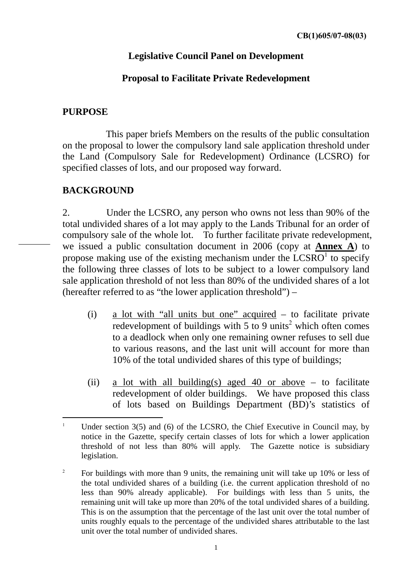## **Legislative Council Panel on Development**

## **Proposal to Facilitate Private Redevelopment**

## **PURPOSE**

 This paper briefs Members on the results of the public consultation on the proposal to lower the compulsory land sale application threshold under the Land (Compulsory Sale for Redevelopment) Ordinance (LCSRO) for specified classes of lots, and our proposed way forward.

## **BACKGROUND**

2. Under the LCSRO, any person who owns not less than 90% of the total undivided shares of a lot may apply to the Lands Tribunal for an order of compulsory sale of the whole lot. To further facilitate private redevelopment, we issued a public consultation document in 2006 (copy at **Annex A**) to propose making use of the existing mechanism under the  $LCSRO<sup>1</sup>$  to specify the following three classes of lots to be subject to a lower compulsory land sale application threshold of not less than 80% of the undivided shares of a lot (hereafter referred to as "the lower application threshold") –

- (i) a lot with "all units but one" acquired to facilitate private redevelopment of buildings with  $5$  to  $9$  units<sup>2</sup> which often comes to a deadlock when only one remaining owner refuses to sell due to various reasons, and the last unit will account for more than 10% of the total undivided shares of this type of buildings;
- (ii) a lot with all building(s) aged 40 or above to facilitate redevelopment of older buildings. We have proposed this class of lots based on Buildings Department (BD)'s statistics of

 $\mathbf{1}$ Under section  $3(5)$  and  $(6)$  of the LCSRO, the Chief Executive in Council may, by notice in the Gazette, specify certain classes of lots for which a lower application threshold of not less than 80% will apply. The Gazette notice is subsidiary legislation.

<sup>2</sup> For buildings with more than 9 units, the remaining unit will take up 10% or less of the total undivided shares of a building (i.e. the current application threshold of no less than 90% already applicable). For buildings with less than 5 units, the remaining unit will take up more than 20% of the total undivided shares of a building. This is on the assumption that the percentage of the last unit over the total number of units roughly equals to the percentage of the undivided shares attributable to the last unit over the total number of undivided shares.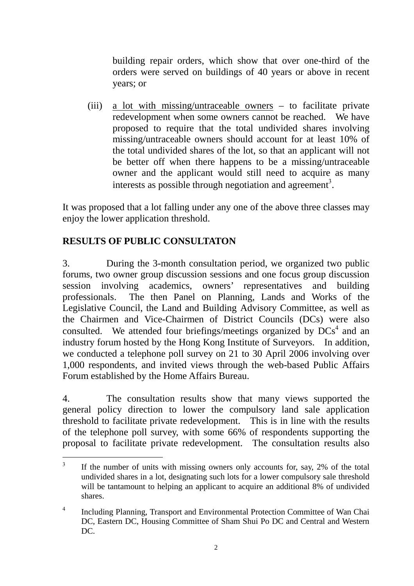building repair orders, which show that over one-third of the orders were served on buildings of 40 years or above in recent years; or

(iii) a lot with missing/untraceable owners – to facilitate private redevelopment when some owners cannot be reached. We have proposed to require that the total undivided shares involving missing/untraceable owners should account for at least 10% of the total undivided shares of the lot, so that an applicant will not be better off when there happens to be a missing/untraceable owner and the applicant would still need to acquire as many interests as possible through negotiation and agreement<sup>3</sup>.

It was proposed that a lot falling under any one of the above three classes may enjoy the lower application threshold.

# **RESULTS OF PUBLIC CONSULTATON**

3. During the 3-month consultation period, we organized two public forums, two owner group discussion sessions and one focus group discussion session involving academics, owners' representatives and building professionals. The then Panel on Planning, Lands and Works of the Legislative Council, the Land and Building Advisory Committee, as well as the Chairmen and Vice-Chairmen of District Councils (DCs) were also consulted. We attended four briefings/meetings organized by  $DCs<sup>4</sup>$  and an industry forum hosted by the Hong Kong Institute of Surveyors. In addition, we conducted a telephone poll survey on 21 to 30 April 2006 involving over 1,000 respondents, and invited views through the web-based Public Affairs Forum established by the Home Affairs Bureau.

4. The consultation results show that many views supported the general policy direction to lower the compulsory land sale application threshold to facilitate private redevelopment. This is in line with the results of the telephone poll survey, with some 66% of respondents supporting the proposal to facilitate private redevelopment. The consultation results also

 $\overline{a}$ 3 If the number of units with missing owners only accounts for, say, 2% of the total undivided shares in a lot, designating such lots for a lower compulsory sale threshold will be tantamount to helping an applicant to acquire an additional 8% of undivided shares.

<sup>4</sup> Including Planning, Transport and Environmental Protection Committee of Wan Chai DC, Eastern DC, Housing Committee of Sham Shui Po DC and Central and Western DC.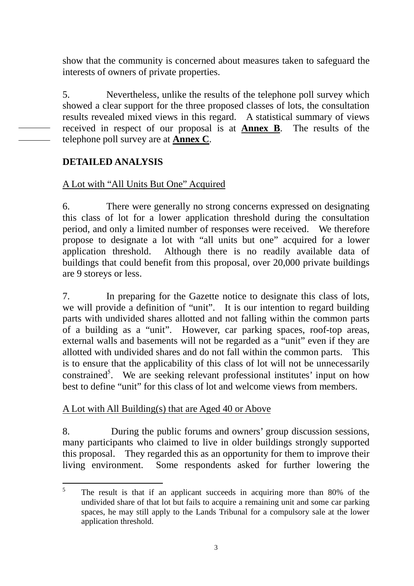show that the community is concerned about measures taken to safeguard the interests of owners of private properties.

5. Nevertheless, unlike the results of the telephone poll survey which showed a clear support for the three proposed classes of lots, the consultation results revealed mixed views in this regard. A statistical summary of views received in respect of our proposal is at **Annex B**. The results of the telephone poll survey are at **Annex C**.

### **DETAILED ANALYSIS**

### A Lot with "All Units But One" Acquired

6. There were generally no strong concerns expressed on designating this class of lot for a lower application threshold during the consultation period, and only a limited number of responses were received. We therefore propose to designate a lot with "all units but one" acquired for a lower application threshold. Although there is no readily available data of buildings that could benefit from this proposal, over 20,000 private buildings are 9 storeys or less.

7. In preparing for the Gazette notice to designate this class of lots, we will provide a definition of "unit". It is our intention to regard building parts with undivided shares allotted and not falling within the common parts of a building as a "unit". However, car parking spaces, roof-top areas, external walls and basements will not be regarded as a "unit" even if they are allotted with undivided shares and do not fall within the common parts. This is to ensure that the applicability of this class of lot will not be unnecessarily constrained<sup>5</sup>. We are seeking relevant professional institutes' input on how best to define "unit" for this class of lot and welcome views from members.

### A Lot with All Building(s) that are Aged 40 or Above

8. During the public forums and owners' group discussion sessions, many participants who claimed to live in older buildings strongly supported this proposal. They regarded this as an opportunity for them to improve their living environment. Some respondents asked for further lowering the

 $\frac{1}{5}$  The result is that if an applicant succeeds in acquiring more than 80% of the undivided share of that lot but fails to acquire a remaining unit and some car parking spaces, he may still apply to the Lands Tribunal for a compulsory sale at the lower application threshold.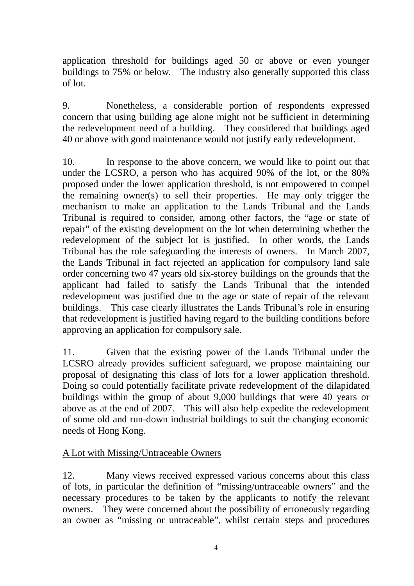application threshold for buildings aged 50 or above or even younger buildings to 75% or below. The industry also generally supported this class of lot.

9. Nonetheless, a considerable portion of respondents expressed concern that using building age alone might not be sufficient in determining the redevelopment need of a building. They considered that buildings aged 40 or above with good maintenance would not justify early redevelopment.

10. In response to the above concern, we would like to point out that under the LCSRO, a person who has acquired 90% of the lot, or the 80% proposed under the lower application threshold, is not empowered to compel the remaining owner(s) to sell their properties. He may only trigger the mechanism to make an application to the Lands Tribunal and the Lands Tribunal is required to consider, among other factors, the "age or state of repair" of the existing development on the lot when determining whether the redevelopment of the subject lot is justified. In other words, the Lands Tribunal has the role safeguarding the interests of owners. In March 2007, the Lands Tribunal in fact rejected an application for compulsory land sale order concerning two 47 years old six-storey buildings on the grounds that the applicant had failed to satisfy the Lands Tribunal that the intended redevelopment was justified due to the age or state of repair of the relevant buildings. This case clearly illustrates the Lands Tribunal's role in ensuring that redevelopment is justified having regard to the building conditions before approving an application for compulsory sale.

11. Given that the existing power of the Lands Tribunal under the LCSRO already provides sufficient safeguard, we propose maintaining our proposal of designating this class of lots for a lower application threshold. Doing so could potentially facilitate private redevelopment of the dilapidated buildings within the group of about 9,000 buildings that were 40 years or above as at the end of 2007. This will also help expedite the redevelopment of some old and run-down industrial buildings to suit the changing economic needs of Hong Kong.

### A Lot with Missing/Untraceable Owners

12. Many views received expressed various concerns about this class of lots, in particular the definition of "missing/untraceable owners" and the necessary procedures to be taken by the applicants to notify the relevant owners. They were concerned about the possibility of erroneously regarding an owner as "missing or untraceable", whilst certain steps and procedures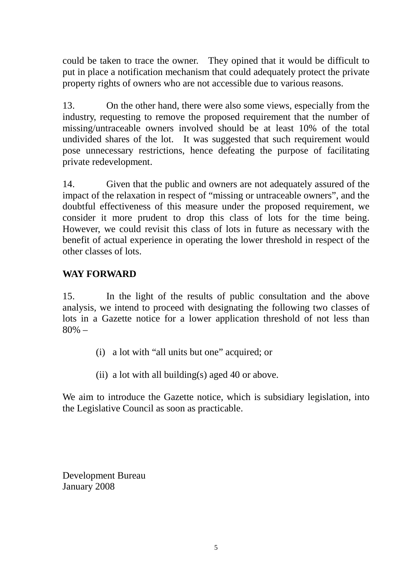could be taken to trace the owner. They opined that it would be difficult to put in place a notification mechanism that could adequately protect the private property rights of owners who are not accessible due to various reasons.

13. On the other hand, there were also some views, especially from the industry, requesting to remove the proposed requirement that the number of missing/untraceable owners involved should be at least 10% of the total undivided shares of the lot. It was suggested that such requirement would pose unnecessary restrictions, hence defeating the purpose of facilitating private redevelopment.

14. Given that the public and owners are not adequately assured of the impact of the relaxation in respect of "missing or untraceable owners", and the doubtful effectiveness of this measure under the proposed requirement, we consider it more prudent to drop this class of lots for the time being. However, we could revisit this class of lots in future as necessary with the benefit of actual experience in operating the lower threshold in respect of the other classes of lots.

## **WAY FORWARD**

15. In the light of the results of public consultation and the above analysis, we intend to proceed with designating the following two classes of lots in a Gazette notice for a lower application threshold of not less than 80% –

- (i) a lot with "all units but one" acquired; or
- (ii) a lot with all building(s) aged 40 or above.

We aim to introduce the Gazette notice, which is subsidiary legislation, into the Legislative Council as soon as practicable.

Development Bureau January 2008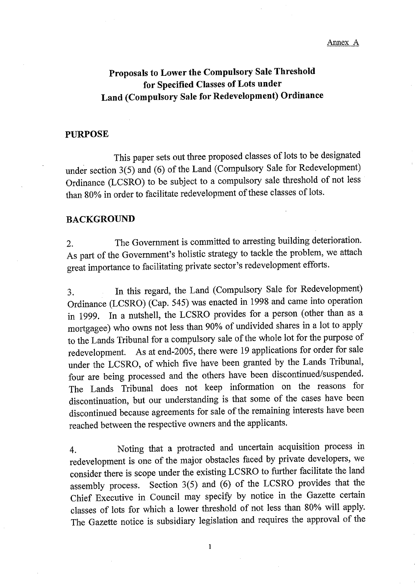# Proposals to Lower the Compulsory Sale Threshold for Specified Classes of Lots under Land (Compulsory Sale for Redevelopment) Ordinance

#### **PURPOSE**

This paper sets out three proposed classes of lots to be designated under section 3(5) and (6) of the Land (Compulsory Sale for Redevelopment) Ordinance (LCSRO) to be subject to a compulsory sale threshold of not less than 80% in order to facilitate redevelopment of these classes of lots.

#### **BACKGROUND**

The Government is committed to arresting building deterioration.  $2.$ As part of the Government's holistic strategy to tackle the problem, we attach great importance to facilitating private sector's redevelopment efforts.

In this regard, the Land (Compulsory Sale for Redevelopment) 3. Ordinance (LCSRO) (Cap. 545) was enacted in 1998 and came into operation In a nutshell, the LCSRO provides for a person (other than as a in 1999. mortgagee) who owns not less than 90% of undivided shares in a lot to apply to the Lands Tribunal for a compulsory sale of the whole lot for the purpose of As at end-2005, there were 19 applications for order for sale redevelopment. under the LCSRO, of which five have been granted by the Lands Tribunal, four are being processed and the others have been discontinued/suspended. The Lands Tribunal does not keep information on the reasons for discontinuation, but our understanding is that some of the cases have been discontinued because agreements for sale of the remaining interests have been reached between the respective owners and the applicants.

Noting that a protracted and uncertain acquisition process in 4. redevelopment is one of the major obstacles faced by private developers, we consider there is scope under the existing LCSRO to further facilitate the land Section 3(5) and (6) of the LCSRO provides that the assembly process. Chief Executive in Council may specify by notice in the Gazette certain classes of lots for which a lower threshold of not less than 80% will apply. The Gazette notice is subsidiary legislation and requires the approval of the

 $\mathbf{1}$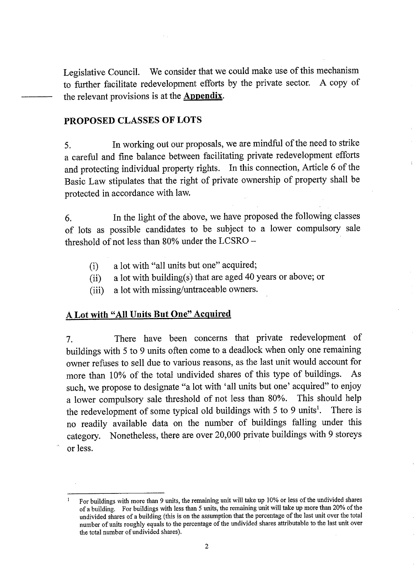Legislative Council. We consider that we could make use of this mechanism to further facilitate redevelopment efforts by the private sector. A copy of the relevant provisions is at the **Appendix**.

### **PROPOSED CLASSES OF LOTS**

In working out our proposals, we are mindful of the need to strike 5. a careful and fine balance between facilitating private redevelopment efforts and protecting individual property rights. In this connection, Article 6 of the Basic Law stipulates that the right of private ownership of property shall be protected in accordance with law.

In the light of the above, we have proposed the following classes 6. of lots as possible candidates to be subject to a lower compulsory sale threshold of not less than 80% under the LCSRO -

- a lot with "all units but one" acquired;  $(i)$
- a lot with building(s) that are aged 40 years or above; or  $(ii)$
- a lot with missing/untraceable owners.  $(iii)$

### A Lot with "All Units But One" Acquired

There have been concerns that private redevelopment of 7. buildings with 5 to 9 units often come to a deadlock when only one remaining owner refuses to sell due to various reasons, as the last unit would account for more than 10% of the total undivided shares of this type of buildings. As such, we propose to designate "a lot with 'all units but one' acquired" to enjoy a lower compulsory sale threshold of not less than 80%. This should help the redevelopment of some typical old buildings with 5 to 9 units<sup>1</sup>. There is no readily available data on the number of buildings falling under this category. Nonetheless, there are over 20,000 private buildings with 9 storeys or less.

For buildings with more than 9 units, the remaining unit will take up 10% or less of the undivided shares of a building. For buildings with less than 5 units, the remaining unit will take up more than 20% of the undivided shares of a building (this is on the assumption that the percentage of the last unit over the total number of units roughly equals to the percentage of the undivided shares attributable to the last unit over the total number of undivided shares).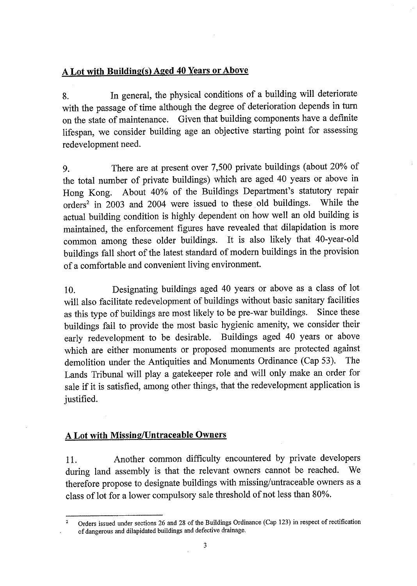## A Lot with Building(s) Aged 40 Years or Above

In general, the physical conditions of a building will deteriorate 8. with the passage of time although the degree of deterioration depends in turn on the state of maintenance. Given that building components have a definite lifespan, we consider building age an objective starting point for assessing redevelopment need.

There are at present over 7,500 private buildings (about 20% of 9. the total number of private buildings) which are aged 40 years or above in About 40% of the Buildings Department's statutory repair Hong Kong. orders<sup>2</sup> in 2003 and 2004 were issued to these old buildings. While the actual building condition is highly dependent on how well an old building is maintained, the enforcement figures have revealed that dilapidation is more common among these older buildings. It is also likely that 40-year-old buildings fall short of the latest standard of modern buildings in the provision of a comfortable and convenient living environment.

Designating buildings aged 40 years or above as a class of lot 10. will also facilitate redevelopment of buildings without basic sanitary facilities as this type of buildings are most likely to be pre-war buildings. Since these buildings fail to provide the most basic hygienic amenity, we consider their early redevelopment to be desirable. Buildings aged 40 years or above which are either monuments or proposed monuments are protected against demolition under the Antiquities and Monuments Ordinance (Cap 53). The Lands Tribunal will play a gatekeeper role and will only make an order for sale if it is satisfied, among other things, that the redevelopment application is justified.

## **A Lot with Missing/Untraceable Owners**

Another common difficulty encountered by private developers 11. during land assembly is that the relevant owners cannot be reached. We therefore propose to designate buildings with missing/untraceable owners as a class of lot for a lower compulsory sale threshold of not less than 80%.

Orders issued under sections 26 and 28 of the Buildings Ordinance (Cap 123) in respect of rectification of dangerous and dilapidated buildings and defective drainage.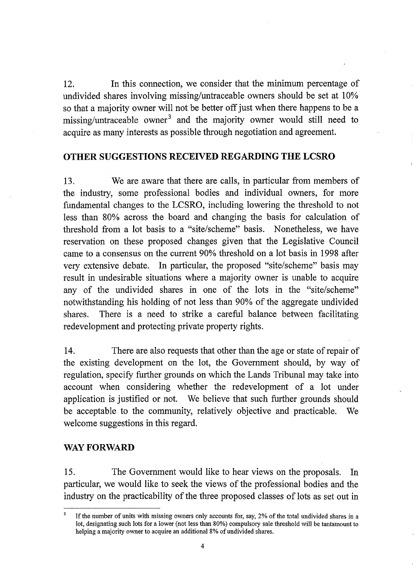$12.$ In this connection, we consider that the minimum percentage of undivided shares involving missing/untraceable owners should be set at 10% so that a majority owner will not be better off just when there happens to be a missing/untraceable owner<sup>3</sup> and the majority owner would still need to acquire as many interests as possible through negotiation and agreement.

### OTHER SUGGESTIONS RECEIVED REGARDING THE LCSRO

13. We are aware that there are calls, in particular from members of the industry, some professional bodies and individual owners, for more fundamental changes to the LCSRO, including lowering the threshold to not less than 80% across the board and changing the basis for calculation of threshold from a lot basis to a "site/scheme" basis. Nonetheless, we have reservation on these proposed changes given that the Legislative Council came to a consensus on the current 90% threshold on a lot basis in 1998 after very extensive debate. In particular, the proposed "site/scheme" basis may result in undesirable situations where a majority owner is unable to acquire any of the undivided shares in one of the lots in the "site/scheme" notwithstanding his holding of not less than 90% of the aggregate undivided There is a need to strike a careful balance between facilitating shares. redevelopment and protecting private property rights.

14. There are also requests that other than the age or state of repair of the existing development on the lot, the Government should, by way of regulation, specify further grounds on which the Lands Tribunal may take into account when considering whether the redevelopment of a lot under application is justified or not. We believe that such further grounds should be acceptable to the community, relatively objective and practicable. We welcome suggestions in this regard.

### **WAY FORWARD**

15. The Government would like to hear views on the proposals. In particular, we would like to seek the views of the professional bodies and the industry on the practicability of the three proposed classes of lots as set out in

If the number of units with missing owners only accounts for, say, 2% of the total undivided shares in a lot, designating such lots for a lower (not less than 80%) compulsory sale threshold will be tantamount to helping a majority owner to acquire an additional 8% of undivided shares.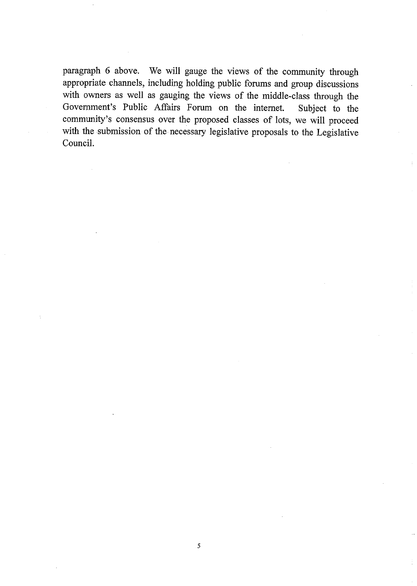paragraph 6 above. We will gauge the views of the community through appropriate channels, including holding public forums and group discussions with owners as well as gauging the views of the middle-class through the Government's Public Affairs Forum on the internet. Subject to the community's consensus over the proposed classes of lots, we will proceed with the submission of the necessary legislative proposals to the Legislative Council.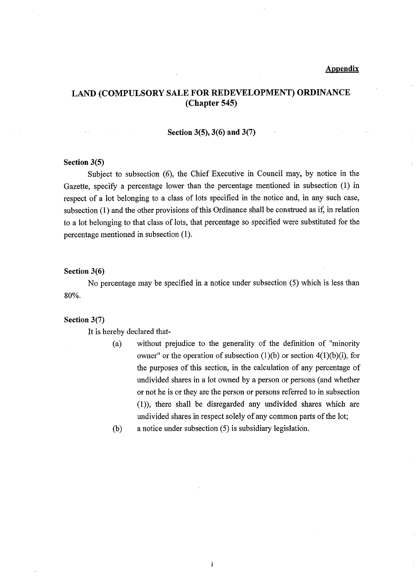#### **Appendix**

### LAND (COMPULSORY SALE FOR REDEVELOPMENT) ORDINANCE  $(Chapter 545)$

#### Section 3(5), 3(6) and 3(7)

#### Section  $3(5)$

 $\sim 10^7$ 

Subject to subsection (6), the Chief Executive in Council may, by notice in the Gazette, specify a percentage lower than the percentage mentioned in subsection (1) in respect of a lot belonging to a class of lots specified in the notice and, in any such case, subsection (1) and the other provisions of this Ordinance shall be construed as if, in relation to a lot belonging to that class of lots, that percentage so specified were substituted for the percentage mentioned in subsection (1).

#### Section 3(6)

No percentage may be specified in a notice under subsection (5) which is less than 80%.

#### Section  $3(7)$

It is hereby declared that-

- without prejudice to the generality of the definition of "minority  $(a)$ owner" or the operation of subsection  $(1)(b)$  or section  $4(1)(b)(i)$ , for the purposes of this section, in the calculation of any percentage of undivided shares in a lot owned by a person or persons (and whether or not he is or they are the person or persons referred to in subsection (1)), there shall be disregarded any undivided shares which are undivided shares in respect solely of any common parts of the lot;
- $(b)$ a notice under subsection (5) is subsidiary legislation.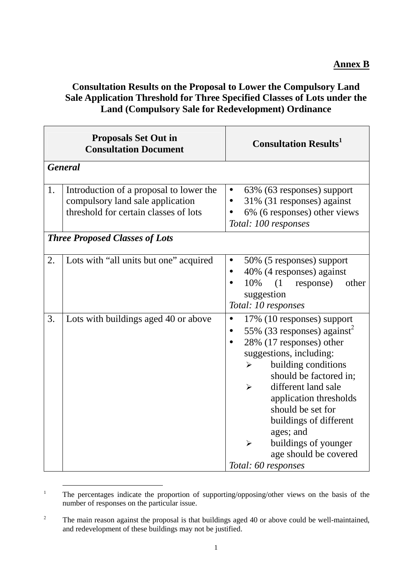## **Consultation Results on the Proposal to Lower the Compulsory Land Sale Application Threshold for Three Specified Classes of Lots under the Land (Compulsory Sale for Redevelopment) Ordinance**

| <b>Proposals Set Out in</b><br><b>Consultation Document</b> |                                                                                                                      | <b>Consultation Results</b>                                                                                                                                                                                                                                                                                                                                                                                                            |  |
|-------------------------------------------------------------|----------------------------------------------------------------------------------------------------------------------|----------------------------------------------------------------------------------------------------------------------------------------------------------------------------------------------------------------------------------------------------------------------------------------------------------------------------------------------------------------------------------------------------------------------------------------|--|
|                                                             | <b>General</b>                                                                                                       |                                                                                                                                                                                                                                                                                                                                                                                                                                        |  |
| 1.                                                          | Introduction of a proposal to lower the<br>compulsory land sale application<br>threshold for certain classes of lots | 63% (63 responses) support<br>$\bullet$<br>31% (31 responses) against<br>6% (6 responses) other views<br>Total: 100 responses                                                                                                                                                                                                                                                                                                          |  |
|                                                             | <b>Three Proposed Classes of Lots</b>                                                                                |                                                                                                                                                                                                                                                                                                                                                                                                                                        |  |
| 2.                                                          | Lots with "all units but one" acquired                                                                               | 50% (5 responses) support<br>40% (4 responses) against<br>10%<br>$(1$ response)<br>other<br>suggestion<br>Total: 10 responses                                                                                                                                                                                                                                                                                                          |  |
| 3.                                                          | Lots with buildings aged 40 or above                                                                                 | 17% (10 responses) support<br>$\bullet$<br>55% (33 responses) against <sup>2</sup><br>28% (17 responses) other<br>suggestions, including:<br>building conditions<br>$\blacktriangleright$<br>should be factored in;<br>different land sale<br>$\blacktriangleright$<br>application thresholds<br>should be set for<br>buildings of different<br>ages; and<br>buildings of younger<br>➤<br>age should be covered<br>Total: 60 responses |  |

<sup>&</sup>lt;sup>1</sup> The percentages indicate the proportion of supporting/opposing/other views on the basis of the number of responses on the particular issue.

<sup>2</sup> The main reason against the proposal is that buildings aged 40 or above could be well-maintained, and redevelopment of these buildings may not be justified.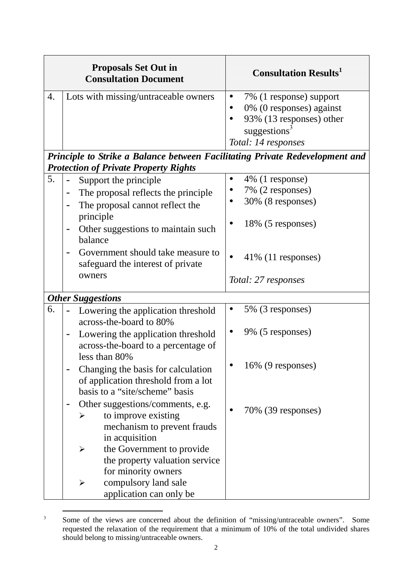| <b>Proposals Set Out in</b><br><b>Consultation Document</b> | <b>Consultation Results</b>                                                                                                          |
|-------------------------------------------------------------|--------------------------------------------------------------------------------------------------------------------------------------|
| Lots with missing/untraceable owners                        | 7% (1 response) support<br>0% (0 responses) against<br>93% $(13$ responses) other<br>suggestions <sup>3</sup><br>Total: 14 responses |

|    | Principle to Strike a Balance between Facilitating Private Redevelopment and<br><b>Protection of Private Property Rights</b>                                                                                                                                                                                                                                                                                                                                                                                                                                                                                  |                                                                                                                                            |
|----|---------------------------------------------------------------------------------------------------------------------------------------------------------------------------------------------------------------------------------------------------------------------------------------------------------------------------------------------------------------------------------------------------------------------------------------------------------------------------------------------------------------------------------------------------------------------------------------------------------------|--------------------------------------------------------------------------------------------------------------------------------------------|
| 5. | Support the principle<br>The proposal reflects the principle<br>The proposal cannot reflect the<br>principle<br>Other suggestions to maintain such<br>balance<br>Government should take measure to<br>safeguard the interest of private<br>owners                                                                                                                                                                                                                                                                                                                                                             | 4% (1 response)<br>$\bullet$<br>7% (2 responses)<br>30% (8 responses)<br>18% (5 responses)<br>$41\%$ (11 responses)<br>Total: 27 responses |
|    | <b>Other Suggestions</b>                                                                                                                                                                                                                                                                                                                                                                                                                                                                                                                                                                                      |                                                                                                                                            |
| 6. | Lowering the application threshold<br>across-the-board to 80%<br>Lowering the application threshold<br>across-the-board to a percentage of<br>less than 80%<br>Changing the basis for calculation<br>of application threshold from a lot<br>basis to a "site/scheme" basis<br>Other suggestions/comments, e.g.<br>$\overline{\phantom{a}}$<br>to improve existing<br>mechanism to prevent frauds<br>in acquisition<br>the Government to provide<br>$\blacktriangleright$<br>the property valuation service<br>for minority owners<br>compulsory land sale<br>$\blacktriangleright$<br>application can only be | 5% (3 responses)<br>$\bullet$<br>9% (5 responses)<br>16% (9 responses)<br>70% (39 responses)                                               |

l 3 Some of the views are concerned about the definition of "missing/untraceable owners". Some requested the relaxation of the requirement that a minimum of 10% of the total undivided shares should belong to missing/untraceable owners.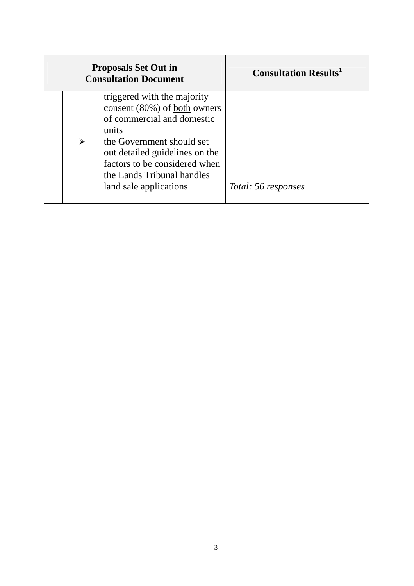| <b>Proposals Set Out in</b><br><b>Consultation Document</b>                                                                                                                                                                                                     | <b>Consultation Results</b> |
|-----------------------------------------------------------------------------------------------------------------------------------------------------------------------------------------------------------------------------------------------------------------|-----------------------------|
| triggered with the majority<br>consent (80%) of both owners<br>of commercial and domestic<br>units<br>the Government should set<br>↘<br>out detailed guidelines on the<br>factors to be considered when<br>the Lands Tribunal handles<br>land sale applications | Total: 56 responses         |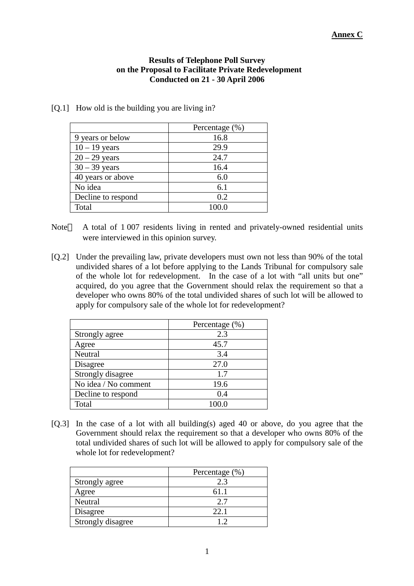#### **Results of Telephone Poll Survey on the Proposal to Facilitate Private Redevelopment Conducted on 21 - 30 April 2006**

[Q.1] How old is the building you are living in?

|                    | Percentage (%) |  |
|--------------------|----------------|--|
| 9 years or below   | 16.8           |  |
| $10 - 19$ years    | 29.9           |  |
| $20 - 29$ years    | 24.7           |  |
| $30 - 39$ years    | 16.4           |  |
| 40 years or above  | 6.0            |  |
| No idea            | 6.1            |  |
| Decline to respond | 0.2            |  |
| Total              |                |  |

- Note A total of 1 007 residents living in rented and privately-owned residential units were interviewed in this opinion survey.
- [Q.2] Under the prevailing law, private developers must own not less than 90% of the total undivided shares of a lot before applying to the Lands Tribunal for compulsory sale of the whole lot for redevelopment. In the case of a lot with "all units but one" acquired, do you agree that the Government should relax the requirement so that a developer who owns 80% of the total undivided shares of such lot will be allowed to apply for compulsory sale of the whole lot for redevelopment?

|                      | Percentage (%) |
|----------------------|----------------|
| Strongly agree       | 2.3            |
| Agree                | 45.7           |
| Neutral              | 3.4            |
| Disagree             | 27.0           |
| Strongly disagree    | 1.7            |
| No idea / No comment | 19.6           |
| Decline to respond   | 0.4            |
| Total                |                |

[Q.3] In the case of a lot with all building(s) aged 40 or above, do you agree that the Government should relax the requirement so that a developer who owns 80% of the total undivided shares of such lot will be allowed to apply for compulsory sale of the whole lot for redevelopment?

|                   | Percentage (%) |
|-------------------|----------------|
| Strongly agree    | 2.3            |
| Agree             | 61.1           |
| Neutral           | 2.7            |
| Disagree          | 22.1           |
| Strongly disagree |                |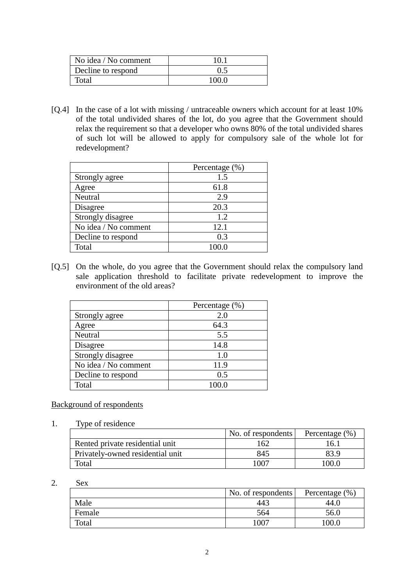| No idea / No comment | 10 I  |
|----------------------|-------|
| Decline to respond   | 0.5   |
| Fotal                | 100.0 |

[Q.4] In the case of a lot with missing / untraceable owners which account for at least 10% of the total undivided shares of the lot, do you agree that the Government should relax the requirement so that a developer who owns 80% of the total undivided shares of such lot will be allowed to apply for compulsory sale of the whole lot for redevelopment?

|                      | Percentage (%) |
|----------------------|----------------|
| Strongly agree       | 1.5            |
| Agree                | 61.8           |
| Neutral              | 2.9            |
| Disagree             | 20.3           |
| Strongly disagree    | 1.2            |
| No idea / No comment | 12.1           |
| Decline to respond   | 0.3            |
| Total                |                |

[Q.5] On the whole, do you agree that the Government should relax the compulsory land sale application threshold to facilitate private redevelopment to improve the environment of the old areas?

|                      | Percentage (%) |
|----------------------|----------------|
| Strongly agree       | 2.0            |
| Agree                | 64.3           |
| Neutral              | 5.5            |
| Disagree             | 14.8           |
| Strongly disagree    | 1.0            |
| No idea / No comment | 11.9           |
| Decline to respond   | 0.5            |
| Total                |                |

Background of respondents

1. Type of residence

|                                  | No. of respondents | Percentage (%) |
|----------------------------------|--------------------|----------------|
| Rented private residential unit  | 162                | 16.1           |
| Privately-owned residential unit | 845                | 83.9           |
| Total                            | 1007               | 100.0          |

#### 2. Sex

|        | No. of respondents | Percentage (%) |
|--------|--------------------|----------------|
| Male   | 443                | 44.U           |
| Female | 564                | 56.0           |
| Total  | $100^{-}$          | 00.0           |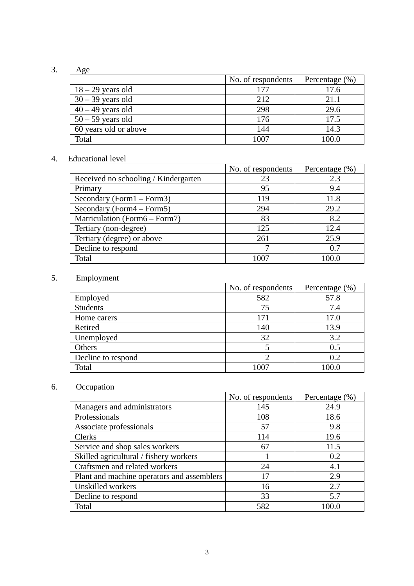## 3. Age

|                       | No. of respondents | Percentage $(\% )$ |
|-----------------------|--------------------|--------------------|
| $18 - 29$ years old   |                    | 17.6               |
| $30 - 39$ years old   | 212                | 21.1               |
| $40 - 49$ years old   | 298                | 29.6               |
| $50 - 59$ years old   | 176                | 17.5               |
| 60 years old or above | 144                | 14.3               |
| Total                 | 1007               | 0.001              |

### 4. Educational level

|                                      | No. of respondents | Percentage $(\% )$ |
|--------------------------------------|--------------------|--------------------|
| Received no schooling / Kindergarten | 23                 | 2.3                |
| Primary                              | 95                 | 9.4                |
| Secondary (Form $1 -$ Form $3$ )     | 119                | 11.8               |
| Secondary (Form $4 -$ Form $5$ )     | 294                | 29.2               |
| Matriculation (Form6 – Form7)        | 83                 | 8.2                |
| Tertiary (non-degree)                | 125                | 12.4               |
| Tertiary (degree) or above           | 261                | 25.9               |
| Decline to respond                   | 7                  | 0.7                |
| Total                                | 1007               | 100.0              |

## 5. Employment

|                    | No. of respondents | Percentage $(\% )$ |
|--------------------|--------------------|--------------------|
| Employed           | 582                | 57.8               |
| <b>Students</b>    | 75                 | 7.4                |
| Home carers        | 171                | 17.0               |
| Retired            | 140                | 13.9               |
| Unemployed         | 32                 | 3.2                |
| Others             |                    | 0.5                |
| Decline to respond | 2                  | 0.2                |
| Total              | 1007               | 00.0               |

# 6. Occupation

|                                            | No. of respondents | Percentage $(\% )$ |
|--------------------------------------------|--------------------|--------------------|
| Managers and administrators                | 145                | 24.9               |
| Professionals                              | 108                | 18.6               |
| Associate professionals                    | 57                 | 9.8                |
| Clerks                                     | 114                | 19.6               |
| Service and shop sales workers             | 67                 | 11.5               |
| Skilled agricultural / fishery workers     |                    | 0.2                |
| Craftsmen and related workers              | 24                 | 4.1                |
| Plant and machine operators and assemblers | 17                 | 2.9                |
| Unskilled workers                          | 16                 | 2.7                |
| Decline to respond                         | 33                 | 5.7                |
| Total                                      | 582                |                    |